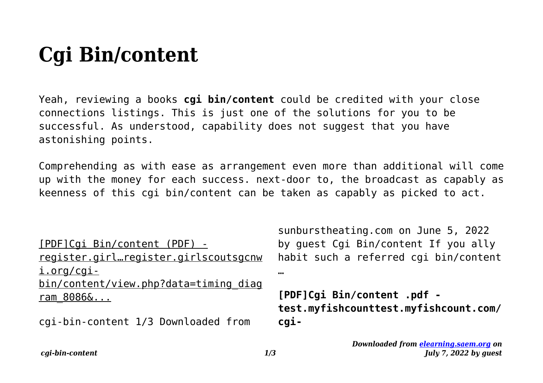## **Cgi Bin/content**

Yeah, reviewing a books **cgi bin/content** could be credited with your close connections listings. This is just one of the solutions for you to be successful. As understood, capability does not suggest that you have astonishing points.

Comprehending as with ease as arrangement even more than additional will come up with the money for each success. next-door to, the broadcast as capably as keenness of this cgi bin/content can be taken as capably as picked to act.

[PDF]Cgi Bin/content (PDF) register.girl…register.girlscoutsgcnw i.org/cgibin/content/view.php?data=timing\_diag ram\_8086&...

cgi-bin-content 1/3 Downloaded from

sunburstheating.com on June 5, 2022 by guest Cgi Bin/content If you ally habit such a referred cgi bin/content …

**[PDF]Cgi Bin/content .pdf test.myfishcounttest.myfishcount.com/ cgi-**

*cgi-bin-content 1/3*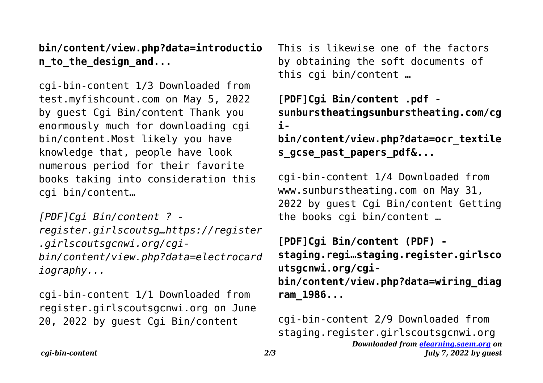**bin/content/view.php?data=introductio n\_to\_the\_design\_and...**

cgi-bin-content 1/3 Downloaded from test.myfishcount.com on May 5, 2022 by guest Cgi Bin/content Thank you enormously much for downloading cgi bin/content.Most likely you have knowledge that, people have look numerous period for their favorite books taking into consideration this cgi bin/content…

*[PDF]Cgi Bin/content ? register.girlscoutsg…https://register .girlscoutsgcnwi.org/cgibin/content/view.php?data=electrocard iography...*

cgi-bin-content 1/1 Downloaded from register.girlscoutsgcnwi.org on June 20, 2022 by guest Cgi Bin/content

This is likewise one of the factors by obtaining the soft documents of this cgi bin/content …

**[PDF]Cgi Bin/content .pdf sunburstheatingsunburstheating.com/cg i-**

**bin/content/view.php?data=ocr\_textile s\_gcse\_past\_papers\_pdf&...**

cgi-bin-content 1/4 Downloaded from www.sunburstheating.com on May 31, 2022 by guest Cgi Bin/content Getting the books cgi bin/content …

**[PDF]Cgi Bin/content (PDF) staging.regi…staging.register.girlsco utsgcnwi.org/cgibin/content/view.php?data=wiring\_diag ram\_1986...**

*Downloaded from [elearning.saem.org](https://elearning.saem.org) on July 7, 2022 by guest* cgi-bin-content 2/9 Downloaded from staging.register.girlscoutsgcnwi.org